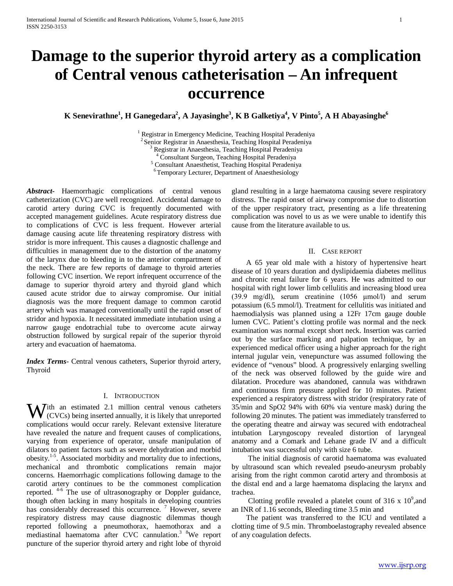# **Damage to the superior thyroid artery as a complication of Central venous catheterisation – An infrequent occurrence**

**K** Senevirathne<sup>1</sup>, **H** Ganegedara<sup>2</sup>, **A** Jayasinghe<sup>3</sup>, **K B** Galketiya<sup>4</sup>, **V** Pinto<sup>5</sup>, **A H** Abayasinghe<sup>6</sup>

<sup>1</sup> Registrar in Emergency Medicine, Teaching Hospital Peradeniya<br>
<sup>2</sup> Senior Registrar in Anaesthesia, Teaching Hospital Peradeniya<br>
<sup>3</sup> Registrar in Anaesthesia, Teaching Hospital Peradeniya<br>
<sup>4</sup> Consultant Surgeon, Teac

*Abstract***-** Haemorrhagic complications of central venous catheterization (CVC) are well recognized. Accidental damage to carotid artery during CVC is frequently documented with accepted management guidelines. Acute respiratory distress due to complications of CVC is less frequent. However arterial damage causing acute life threatening respiratory distress with stridor is more infrequent. This causes a diagnostic challenge and difficulties in management due to the distortion of the anatomy of the larynx due to bleeding in to the anterior compartment of the neck. There are few reports of damage to thyroid arteries following CVC insertion. We report infrequent occurrence of the damage to superior thyroid artery and thyroid gland which caused acute stridor due to airway compromise. Our initial diagnosis was the more frequent damage to common carotid artery which was managed conventionally until the rapid onset of stridor and hypoxia. It necessitated immediate intubation using a narrow gauge endotrachial tube to overcome acute airway obstruction followed by surgical repair of the superior thyroid artery and evacuation of haematoma.

*Index Terms*- Central venous catheters, Superior thyroid artery, Thyroid

## I. INTRODUCTION

ith an estimated 2.1 million central venous catheters With an estimated 2.1 million central venous catheters (CVCs) being inserted annually, it is likely that unreported complications would occur rarely. Relevant extensive literature have revealed the nature and frequent causes of complications, varying from experience of operator, unsafe manipulation of dilators to patient factors such as severe dehydration and morbid obesity.<sup>1-5</sup>. Associated morbidity and mortality due to infections, mechanical and thrombotic complications remain major concerns. Haemorrhagic complications following damage to the carotid artery continues to be the commonest complication reported. 4-6 The use of ultrasonography or Doppler guidance, though often lacking in many hospitals in developing countries has considerably decreased this occurrence.<sup>7</sup> However, severe respiratory distress may cause diagnostic dilemmas though reported following a pneumothorax, haemothorax and a mediastinal haematoma after CVC cannulation.3 8We report puncture of the superior thyroid artery and right lobe of thyroid

gland resulting in a large haematoma causing severe respiratory distress. The rapid onset of airway compromise due to distortion of the upper respiratory tract, presenting as a life threatening complication was novel to us as we were unable to identify this cause from the literature available to us.

## II. CASE REPORT

 A 65 year old male with a history of hypertensive heart disease of 10 years duration and dyslipidaemia diabetes mellitus and chronic renal failure for 6 years. He was admitted to our hospital with right lower limb cellulitis and increasing blood urea (39.9 mg/dl), serum creatinine (1056 μmol/l) and serum potassium (6.5 mmol/l). Treatment for cellulitis was initiated and haemodialysis was planned using a 12Fr 17cm gauge double lumen CVC. Patient's clotting profile was normal and the neck examination was normal except short neck. Insertion was carried out by the surface marking and palpation technique, by an experienced medical officer using a higher approach for the right internal jugular vein, venepuncture was assumed following the evidence of "venous" blood. A progressively enlarging swelling of the neck was observed followed by the guide wire and dilatation. Procedure was abandoned, cannula was withdrawn and continuous firm pressure applied for 10 minutes. Patient experienced a respiratory distress with stridor (respiratory rate of 35/min and SpO2 94% with 60% via venture mask) during the following 20 minutes. The patient was immediately transferred to the operating theatre and airway was secured with endotracheal intubation Laryngoscopy revealed distortion of laryngeal anatomy and a Comark and Lehane grade IV and a difficult intubation was successful only with size 6 tube.

 The initial diagnosis of carotid haematoma was evaluated by ultrasound scan which revealed pseudo-aneurysm probably arising from the right common carotid artery and thrombosis at the distal end and a large haematoma displacing the larynx and trachea.

Clotting profile revealed a platelet count of 316 x  $10^9$ , and an INR of 1.16 seconds, Bleeding time 3.5 min and

 The patient was transferred to the ICU and ventilated a clotting time of 9.5 min. Thromboelastography revealed absence of any coagulation defects.